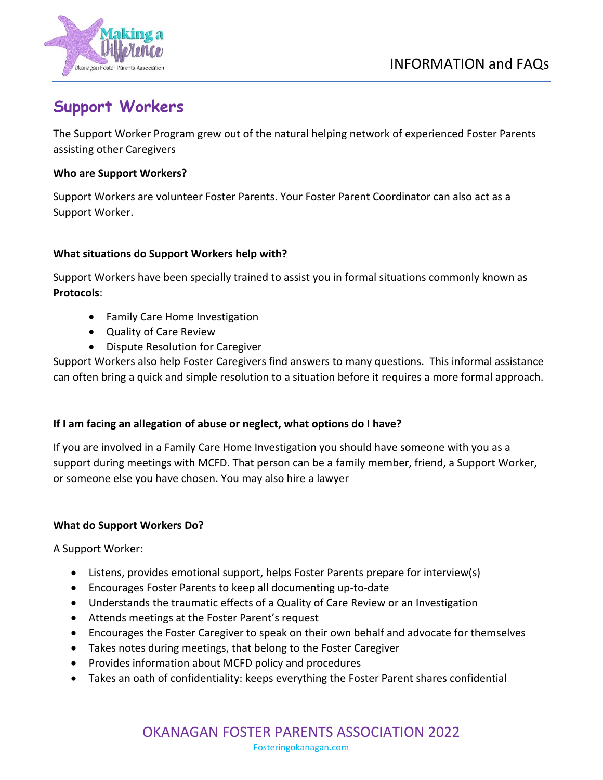

# **Support Workers**

The Support Worker Program grew out of the natural helping network of experienced Foster Parents assisting other Caregivers

#### **Who are Support Workers?**

Support Workers are volunteer Foster Parents. Your Foster Parent Coordinator can also act as a Support Worker.

## **What situations do Support Workers help with?**

Support Workers have been specially trained to assist you in formal situations commonly known as **Protocols**:

- Family Care Home Investigation
- Quality of Care Review
- Dispute Resolution for Caregiver

Support Workers also help Foster Caregivers find answers to many questions. This informal assistance can often bring a quick and simple resolution to a situation before it requires a more formal approach.

## **If I am facing an allegation of abuse or neglect, what options do I have?**

If you are involved in a Family Care Home Investigation you should have someone with you as a support during meetings with MCFD. That person can be a family member, friend, a Support Worker, or someone else you have chosen. You may also hire a lawyer

## **What do Support Workers Do?**

A Support Worker:

- Listens, provides emotional support, helps Foster Parents prepare for interview(s)
- Encourages Foster Parents to keep all documenting up-to-date
- Understands the traumatic effects of a Quality of Care Review or an Investigation
- Attends meetings at the Foster Parent's request
- Encourages the Foster Caregiver to speak on their own behalf and advocate for themselves
- Takes notes during meetings, that belong to the Foster Caregiver
- Provides information about MCFD policy and procedures
- Takes an oath of confidentiality: keeps everything the Foster Parent shares confidential